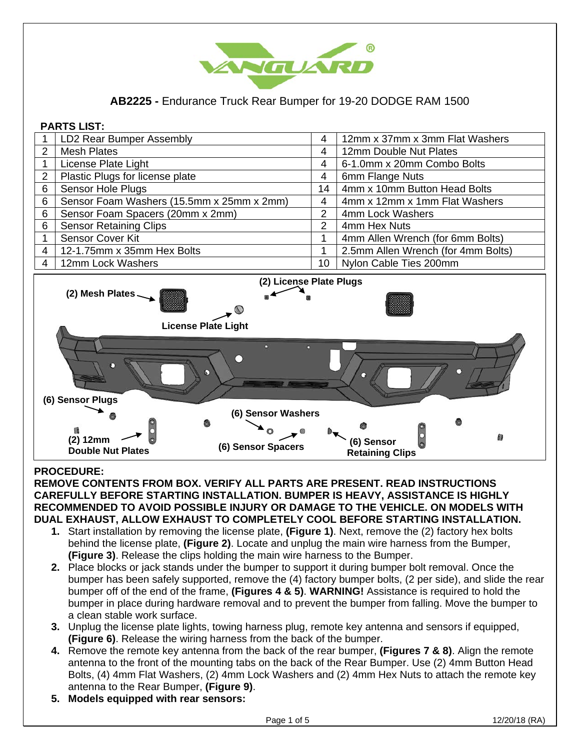

**AB2225 -** Endurance Truck Rear Bumper for 19-20 DODGE RAM 1500

## **PARTS LIST:**  1 | LD2 Rear Bumper Assembly **1 | 12mm x 37mm x 37mm x 3mm Flat Washers** 2 Mesh Plates<br>1 License Plate Light<br>4 6-1.0mm x 20mm Combo 1 License Plate Light 4 6-1.0mm x 20mm Combo Bolts 2 Plastic Plugs for license plate<br>
6 Sensor Hole Plugs<br>
4 4 4mm x 10mm Butt 6 | Sensor Hole Plugs | 14 | 4mm x 10mm Button Head Bolts 6 Sensor Foam Washers (15.5mm x 25mm x 2mm) 4 4mm x 12mm x 1mm Flat Washers<br>6 Sensor Foam Spacers (20mm x 2mm) 2 4mm Lock Washers 6 Sensor Foam Spacers (20mm x 2mm) 6 Sensor Retaining Clips 2 2 4mm Hex Nuts 1 Sensor Cover Kit 1 4mm Allen Wrench (for 6mm Bolts) 4 12-1.75mm x 35mm Hex Bolts 1 2.5mm Allen Wrench (for 4mm Bolts) 4 | 12mm Lock Washers 10 Nylon Cable Ties 200mm



## **PROCEDURE:**

**REMOVE CONTENTS FROM BOX. VERIFY ALL PARTS ARE PRESENT. READ INSTRUCTIONS CAREFULLY BEFORE STARTING INSTALLATION. BUMPER IS HEAVY, ASSISTANCE IS HIGHLY RECOMMENDED TO AVOID POSSIBLE INJURY OR DAMAGE TO THE VEHICLE. ON MODELS WITH DUAL EXHAUST, ALLOW EXHAUST TO COMPLETELY COOL BEFORE STARTING INSTALLATION.**

- **1.** Start installation by removing the license plate, **(Figure 1)**. Next, remove the (2) factory hex bolts behind the license plate, **(Figure 2)**. Locate and unplug the main wire harness from the Bumper, **(Figure 3)**. Release the clips holding the main wire harness to the Bumper.
- **2.** Place blocks or jack stands under the bumper to support it during bumper bolt removal. Once the bumper has been safely supported, remove the (4) factory bumper bolts, (2 per side), and slide the rear bumper off of the end of the frame, **(Figures 4 & 5)**. **WARNING!** Assistance is required to hold the bumper in place during hardware removal and to prevent the bumper from falling. Move the bumper to a clean stable work surface.
- **3.** Unplug the license plate lights, towing harness plug, remote key antenna and sensors if equipped, **(Figure 6)**. Release the wiring harness from the back of the bumper.
- **4.** Remove the remote key antenna from the back of the rear bumper, **(Figures 7 & 8)**. Align the remote antenna to the front of the mounting tabs on the back of the Rear Bumper. Use (2) 4mm Button Head Bolts, (4) 4mm Flat Washers, (2) 4mm Lock Washers and (2) 4mm Hex Nuts to attach the remote key antenna to the Rear Bumper, **(Figure 9)**.
- **5. Models equipped with rear sensors:**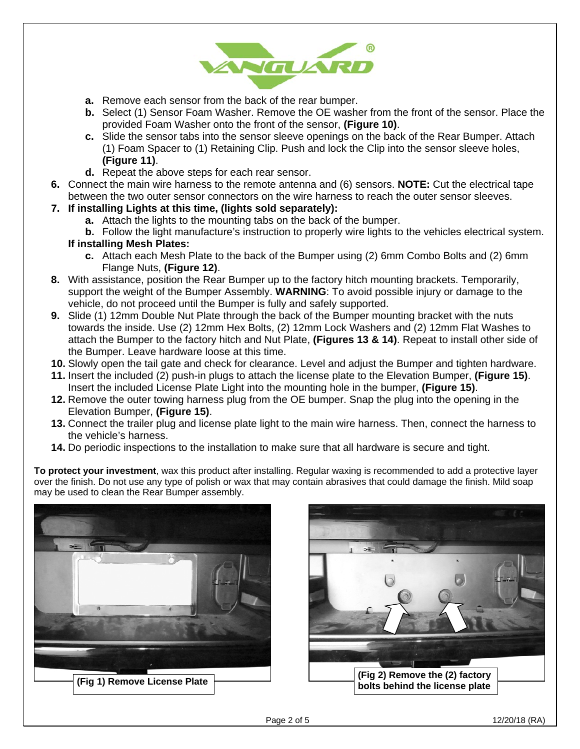

- **a.** Remove each sensor from the back of the rear bumper.
- **b.** Select (1) Sensor Foam Washer. Remove the OE washer from the front of the sensor. Place the provided Foam Washer onto the front of the sensor, **(Figure 10)**.
- **c.** Slide the sensor tabs into the sensor sleeve openings on the back of the Rear Bumper. Attach (1) Foam Spacer to (1) Retaining Clip. Push and lock the Clip into the sensor sleeve holes, **(Figure 11)**.
- **d.** Repeat the above steps for each rear sensor.
- **6.** Connect the main wire harness to the remote antenna and (6) sensors. **NOTE:** Cut the electrical tape between the two outer sensor connectors on the wire harness to reach the outer sensor sleeves.
- **7. If installing Lights at this time, (lights sold separately):**
	- **a.** Attach the lights to the mounting tabs on the back of the bumper.
	- **b.** Follow the light manufacture's instruction to properly wire lights to the vehicles electrical system. **If installing Mesh Plates:**
		- **c.** Attach each Mesh Plate to the back of the Bumper using (2) 6mm Combo Bolts and (2) 6mm Flange Nuts, **(Figure 12)**.
- **8.** With assistance, position the Rear Bumper up to the factory hitch mounting brackets. Temporarily, support the weight of the Bumper Assembly. **WARNING**: To avoid possible injury or damage to the vehicle, do not proceed until the Bumper is fully and safely supported.
- **9.** Slide (1) 12mm Double Nut Plate through the back of the Bumper mounting bracket with the nuts towards the inside. Use (2) 12mm Hex Bolts, (2) 12mm Lock Washers and (2) 12mm Flat Washes to attach the Bumper to the factory hitch and Nut Plate, **(Figures 13 & 14)**. Repeat to install other side of the Bumper. Leave hardware loose at this time.
- **10.** Slowly open the tail gate and check for clearance. Level and adjust the Bumper and tighten hardware.
- **11.** Insert the included (2) push-in plugs to attach the license plate to the Elevation Bumper, **(Figure 15)**. Insert the included License Plate Light into the mounting hole in the bumper, **(Figure 15)**.
- **12.** Remove the outer towing harness plug from the OE bumper. Snap the plug into the opening in the Elevation Bumper, **(Figure 15)**.
- **13.** Connect the trailer plug and license plate light to the main wire harness. Then, connect the harness to the vehicle's harness.
- **14.** Do periodic inspections to the installation to make sure that all hardware is secure and tight.

**To protect your investment**, wax this product after installing. Regular waxing is recommended to add a protective layer over the finish. Do not use any type of polish or wax that may contain abrasives that could damage the finish. Mild soap may be used to clean the Rear Bumper assembly.



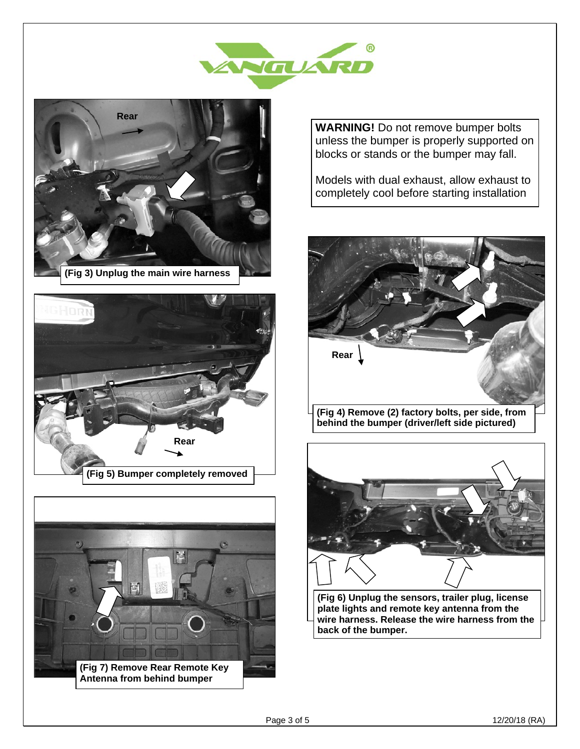







**WARNING!** Do not remove bumper bolts unless the bumper is properly supported on blocks or stands or the bumper may fall.

Models with dual exhaust, allow exhaust to completely cool before starting installation





**(Fig 6) Unplug the sensors, trailer plug, license plate lights and remote key antenna from the wire harness. Release the wire harness from the back of the bumper.**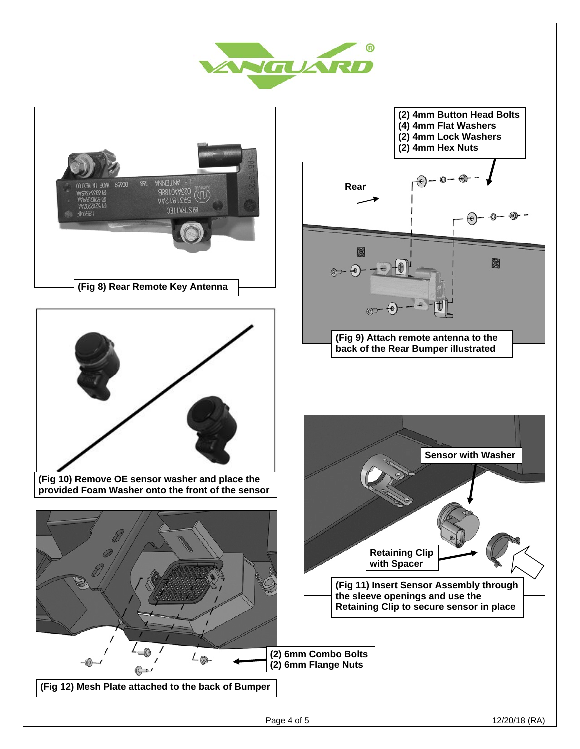